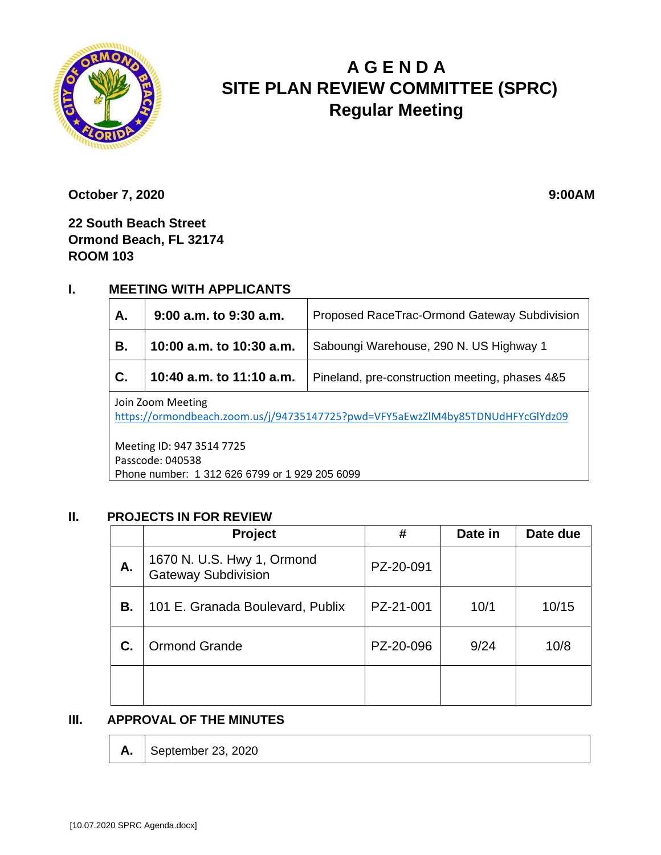

# **A G E N D A SITE PLAN REVIEW COMMITTEE (SPRC) Regular Meeting**

**October 7, 2020** 9:00AM

**22 South Beach Street Ormond Beach, FL 32174 ROOM 103**

# **I. MEETING WITH APPLICANTS**

| A.                                                                                                  | 9:00 a.m. to 9:30 a.m.   | Proposed RaceTrac-Ormond Gateway Subdivision   |  |  |
|-----------------------------------------------------------------------------------------------------|--------------------------|------------------------------------------------|--|--|
| В.                                                                                                  | 10:00 a.m. to 10:30 a.m. | Saboungi Warehouse, 290 N. US Highway 1        |  |  |
| C.                                                                                                  | 10:40 a.m. to 11:10 a.m. | Pineland, pre-construction meeting, phases 4&5 |  |  |
| Join Zoom Meeting<br>https://ormondbeach.zoom.us/j/94735147725?pwd=VFY5aEwzZlM4by85TDNUdHFYcGlYdz09 |                          |                                                |  |  |

Meeting ID: 947 3514 7725 Passcode: 040538 Phone number: 1 312 626 6799 or 1 929 205 6099

#### **II. PROJECTS IN FOR REVIEW**

|    | Project                                                  | #         | Date in | Date due |
|----|----------------------------------------------------------|-----------|---------|----------|
| А. | 1670 N. U.S. Hwy 1, Ormond<br><b>Gateway Subdivision</b> | PZ-20-091 |         |          |
| В. | 101 E. Granada Boulevard, Publix                         | PZ-21-001 | 10/1    | 10/15    |
| C. | <b>Ormond Grande</b>                                     | PZ-20-096 | 9/24    | 10/8     |
|    |                                                          |           |         |          |

#### **III. APPROVAL OF THE MINUTES**

**A.** September 23, 2020